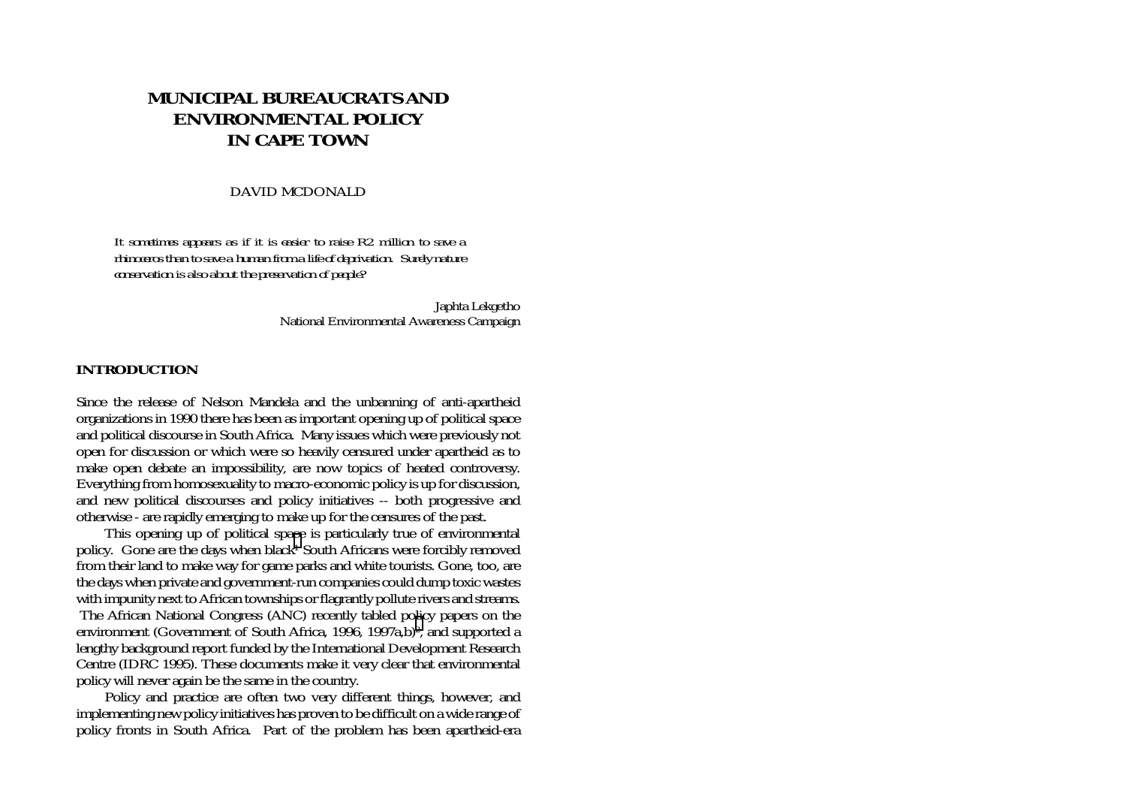# **MUNICIPAL BUREAUCRATS AND ENVIRONMENTAL POLICY IN CAPE TOWN**

#### DAVID MCDONALD

*It sometimes appears as if it is easier to raise R2 million to save a rhinoceros than to save a human from a life of deprivation. Surely nature conservation is also about the preservation of people?* 

> Japhta Lekgetho National Environmental Awareness Campaign

### **INTRODUCTION**

Since the release of Nelson Mandela and the unbanning of anti-apartheid organizations in 1990 there has been as important opening up of political space and political discourse in South Africa. Many issues which were previously not open for discussion or which were so heavily censured under apartheid as to make open debate an impossibility, are now topics of heated controversy. Everything from homosexuality to macro-economic policy is up for discussion, and new political discourses and policy initiatives -- both progressive and otherwise - are rapidly emerging to make up for the censures of the past.

This opening up of political spa[ce](#page-23-0) is particularly true of environmental policy. Gone are the days when black<sup>1</sup> South Africans were forcibly removed from their land to make way for game parks and white tourists. Gone, too, are the days when private and government-run companies could dump toxic wastes with impunity next to African townships or flagrantly pollute rivers and streams. The African National Congress (ANC) recently tabled po[lic](#page-23-0)y papers on the environment (Government of South Africa, 1996, 1997a,b)<sup>2</sup>, and supported a lengthy background report funded by the International Development Research Centre (IDRC 1995). These documents make it very clear that environmental policy will never again be the same in the country.

Policy and practice are often two very different things, however, and implementing new policy initiatives has proven to be difficult on a wide range of policy fronts in South Africa. Part of the problem has been apartheid-era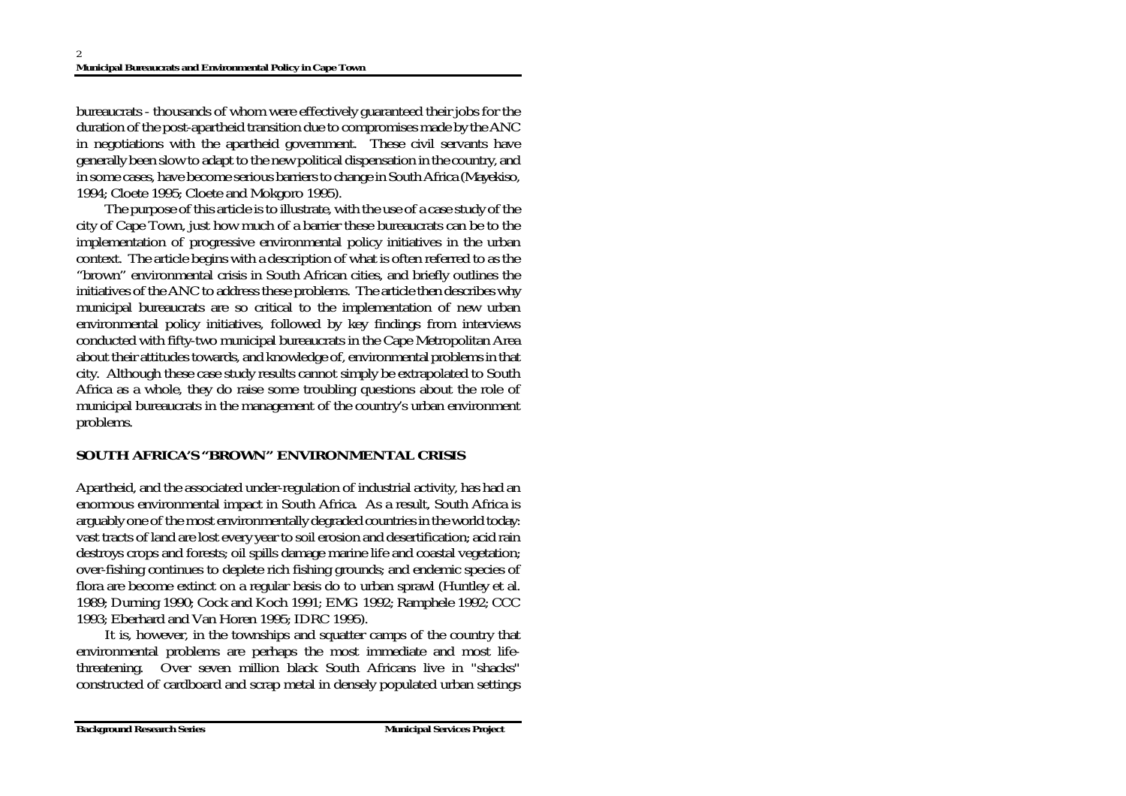bureaucrats - thousands of whom were effectively guaranteed their jobs for the duration of the post-apartheid transition due to compromises made by the ANC in negotiations with the apartheid government. These civil servants have generally been slow to adapt to the new political dispensation in the country, and in some cases, have become serious barriers to change in South Africa (Mayekiso, 1994; Cloete 1995; Cloete and Mokgoro 1995).

The purpose of this article is to illustrate, with the use of a case study of the city of Cape Town, just how much of a barrier these bureaucrats can be to the implementation of progressive environmental policy initiatives in the urban context. The article begins with a description of what is often referred to as the "brown" environmental crisis in South African cities, and briefly outlines the initiatives of the ANC to address these problems. The article then describes why municipal bureaucrats are so critical to the implementation of new urban environmental policy initiatives, followed by key findings from interviews conducted with fifty-two municipal bureaucrats in the Cape Metropolitan Area about their attitudes towards, and knowledge of, environmental problems in that city. Although these case study results cannot simply be extrapolated to South Africa as a whole, they do raise some troubling questions about the role of municipal bureaucrats in the management of the country's urban environment problems.

# **SOUTH AFRICA'S "BROWN" ENVIRONMENTAL CRISIS**

Apartheid, and the associated under-regulation of industrial activity, has had an enormous environmental impact in South Africa. As a result, South Africa is arguably one of the most environmentally degraded countries in the world today: vast tracts of land are lost every year to soil erosion and desertification; acid rain destroys crops and forests; oil spills damage marine life and coastal vegetation; over-fishing continues to deplete rich fishing grounds; and endemic species of flora are become extinct on a regular basis do to urban sprawl (Huntley et al. 1989; Durning 1990; Cock and Koch 1991; EMG 1992; Ramphele 1992; CCC 1993; Eberhard and Van Horen 1995; IDRC 1995).

It is, however, in the townships and squatter camps of the country that environmental problems are perhaps the most immediate and most lifethreatening. Over seven million black South Africans live in "shacks" constructed of cardboard and scrap metal in densely populated urban settings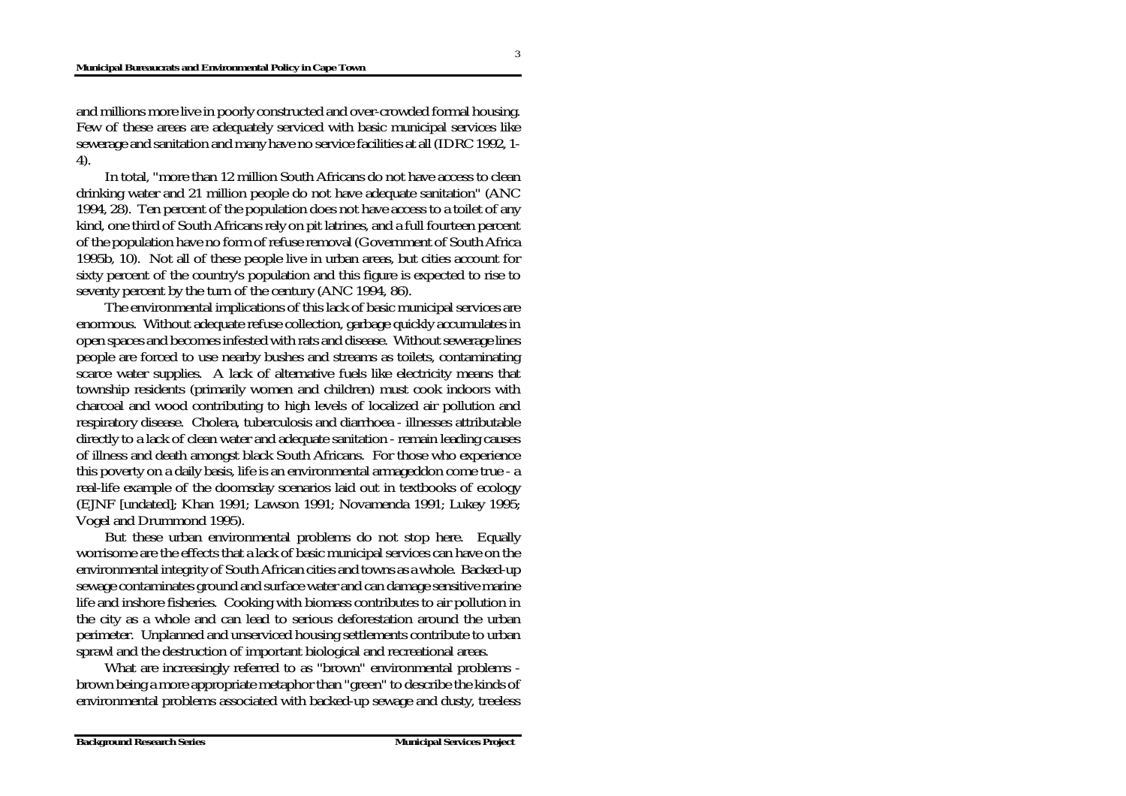#### **Municipal Bureaucrats and Environmental Policy in Cape Town**

and millions more live in poorly constructed and over-crowded formal housing. Few of these areas are adequately serviced with basic municipal services like sewerage and sanitation and many have no service facilities at all (IDRC 1992, 1- 4).

In total, "more than 12 million South Africans do not have access to clean drinking water and 21 million people do not have adequate sanitation" (ANC 1994, 28). Ten percent of the population does not have access to a toilet of any kind, one third of South Africans rely on pit latrines, and a full fourteen percent of the population have no form of refuse removal (Government of South Africa 1995b, 10). Not all of these people live in urban areas, but cities account for sixty percent of the country's population and this figure is expected to rise to seventy percent by the turn of the century (ANC 1994, 86).

The environmental implications of this lack of basic municipal services are enormous. Without adequate refuse collection, garbage quickly accumulates in open spaces and becomes infested with rats and disease. Without sewerage lines people are forced to use nearby bushes and streams as toilets, contaminating scarce water supplies. A lack of alternative fuels like electricity means that township residents (primarily women and children) must cook indoors with charcoal and wood contributing to high levels of localized air pollution and respiratory disease. Cholera, tuberculosis and diarrhoea - illnesses attributable directly to a lack of clean water and adequate sanitation - remain leading causes of illness and death amongst black South Africans. For those who experience this poverty on a daily basis, life is an environmental armageddon come true - a real-life example of the doomsday scenarios laid out in textbooks of ecology (EJNF [undated]; Khan 1991; Lawson 1991; Novamenda 1991; Lukey 1995; Vogel and Drummond 1995).

But these urban environmental problems do not stop here. Equally worrisome are the effects that a lack of basic municipal services can have on the environmental integrity of South African cities and towns as a whole. Backed-up sewage contaminates ground and surface water and can damage sensitive marine life and inshore fisheries. Cooking with biomass contributes to air pollution in the city as a whole and can lead to serious deforestation around the urban perimeter. Unplanned and unserviced housing settlements contribute to urban sprawl and the destruction of important biological and recreational areas.

What are increasingly referred to as "brown" environmental problems brown being a more appropriate metaphor than "green" to describe the kinds of environmental problems associated with backed-up sewage and dusty, treeless

3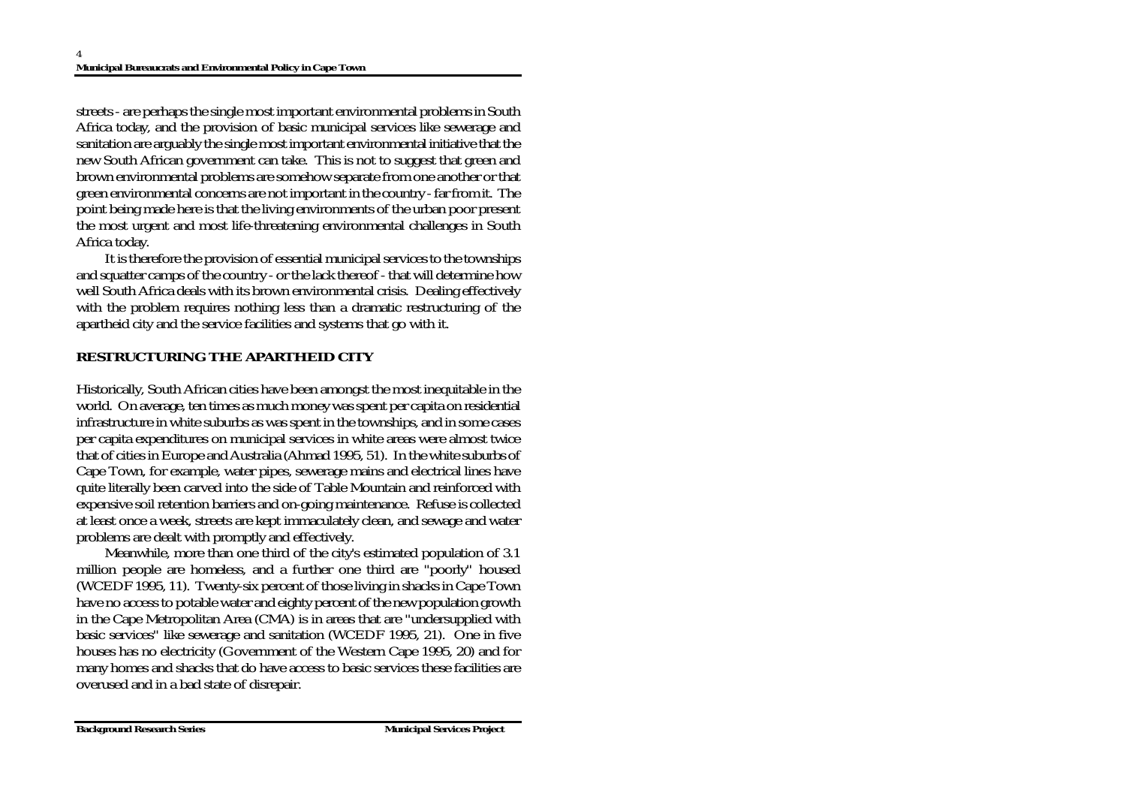streets - are perhaps the single most important environmental problems in South Africa today, and the provision of basic municipal services like sewerage and sanitation are arguably the single most important environmental initiative that the new South African government can take. This is not to suggest that green and brown environmental problems are somehow separate from one another or that green environmental concerns are not important in the country - far from it. The point being made here is that the living environments of the urban poor present the most urgent and most life-threatening environmental challenges in South Africa today.

It is therefore the provision of essential municipal services to the townships and squatter camps of the country - or the lack thereof - that will determine how well South Africa deals with its brown environmental crisis. Dealing effectively with the problem requires nothing less than a dramatic restructuring of the apartheid city and the service facilities and systems that go with it.

# **RESTRUCTURING THE APARTHEID CITY**

Historically, South African cities have been amongst the most inequitable in the world. On average, ten times as much money was spent per capita on residential infrastructure in white suburbs as was spent in the townships, and in some cases per capita expenditures on municipal services in white areas were almost twice that of cities in Europe and Australia (Ahmad 1995, 51). In the white suburbs of Cape Town, for example, water pipes, sewerage mains and electrical lines have quite literally been carved into the side of Table Mountain and reinforced with expensive soil retention barriers and on-going maintenance. Refuse is collected at least once a week, streets are kept immaculately clean, and sewage and water problems are dealt with promptly and effectively.

Meanwhile, more than one third of the city's estimated population of 3.1 million people are homeless, and a further one third are "poorly" housed (WCEDF 1995, 11). Twenty-six percent of those living in shacks in Cape Town have no access to potable water and eighty percent of the new population growth in the Cape Metropolitan Area (CMA) is in areas that are "undersupplied with basic services" like sewerage and sanitation (WCEDF 1995, 21). One in five houses has no electricity (Government of the Western Cape 1995, 20) and for many homes and shacks that do have access to basic services these facilities are overused and in a bad state of disrepair.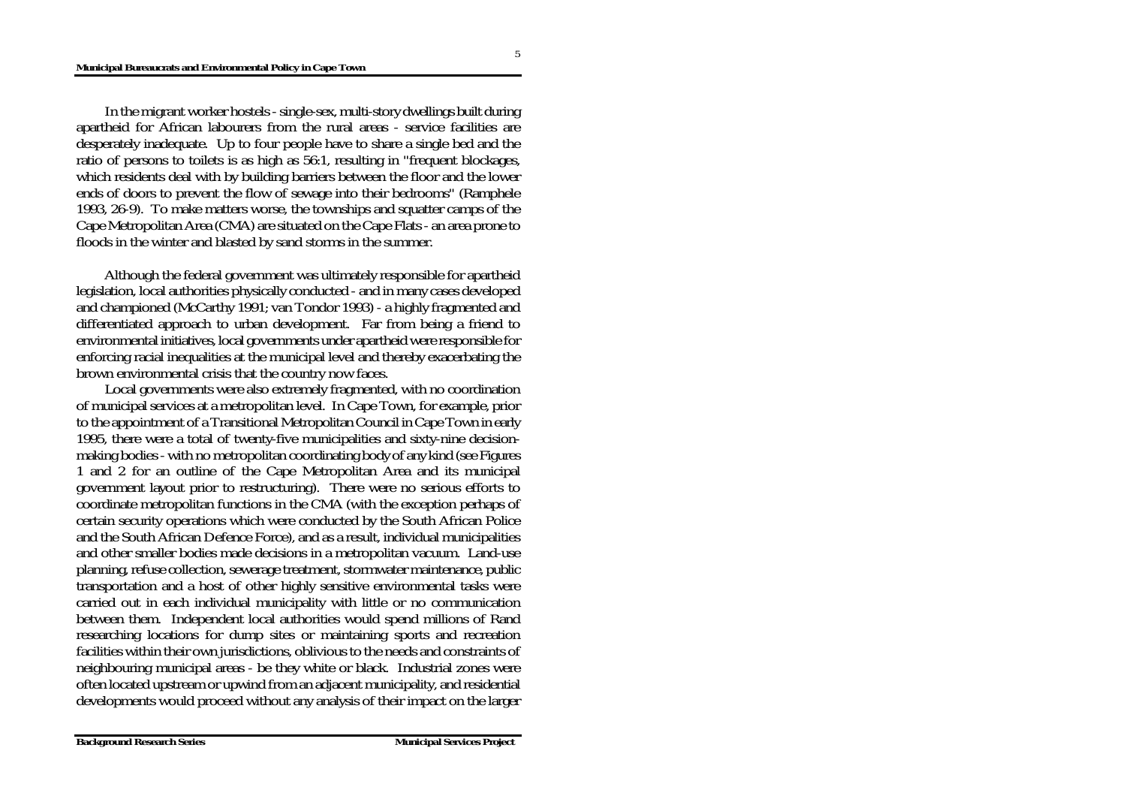In the migrant worker hostels - single-sex, multi-story dwellings built during apartheid for African labourers from the rural areas - service facilities are desperately inadequate. Up to four people have to share a single bed and the ratio of persons to toilets is as high as 56:1, resulting in "frequent blockages, which residents deal with by building barriers between the floor and the lower ends of doors to prevent the flow of sewage into their bedrooms" (Ramphele 1993, 26-9). To make matters worse, the townships and squatter camps of the Cape Metropolitan Area (CMA) are situated on the Cape Flats - an area prone to floods in the winter and blasted by sand storms in the summer.

Although the federal government was ultimately responsible for apartheid legislation, local authorities physically conducted - and in many cases developed and championed (McCarthy 1991; van Tondor 1993) - a highly fragmented and differentiated approach to urban development. Far from being a friend to environmental initiatives, local governments under apartheid were responsible for enforcing racial inequalities at the municipal level and thereby exacerbating the brown environmental crisis that the country now faces.

Local governments were also extremely fragmented, with no coordination of municipal services at a metropolitan level. In Cape Town, for example, prior to the appointment of a Transitional Metropolitan Council in Cape Town in early 1995, there were a total of twenty-five municipalities and sixty-nine decisionmaking bodies - with no metropolitan coordinating body of any kind (see Figures 1 and 2 for an outline of the Cape Metropolitan Area and its municipal government layout prior to restructuring). There were no serious efforts to coordinate metropolitan functions in the CMA (with the exception perhaps of certain security operations which were conducted by the South African Police and the South African Defence Force), and as a result, individual municipalities and other smaller bodies made decisions in a metropolitan vacuum. Land-use planning, refuse collection, sewerage treatment, stormwater maintenance, public transportation and a host of other highly sensitive environmental tasks were carried out in each individual municipality with little or no communication between them. Independent local authorities would spend millions of Rand researching locations for dump sites or maintaining sports and recreation facilities within their own jurisdictions, oblivious to the needs and constraints of neighbouring municipal areas - be they white or black. Industrial zones were often located upstream or upwind from an adjacent municipality, and residential developments would proceed without any analysis of their impact on the larger

5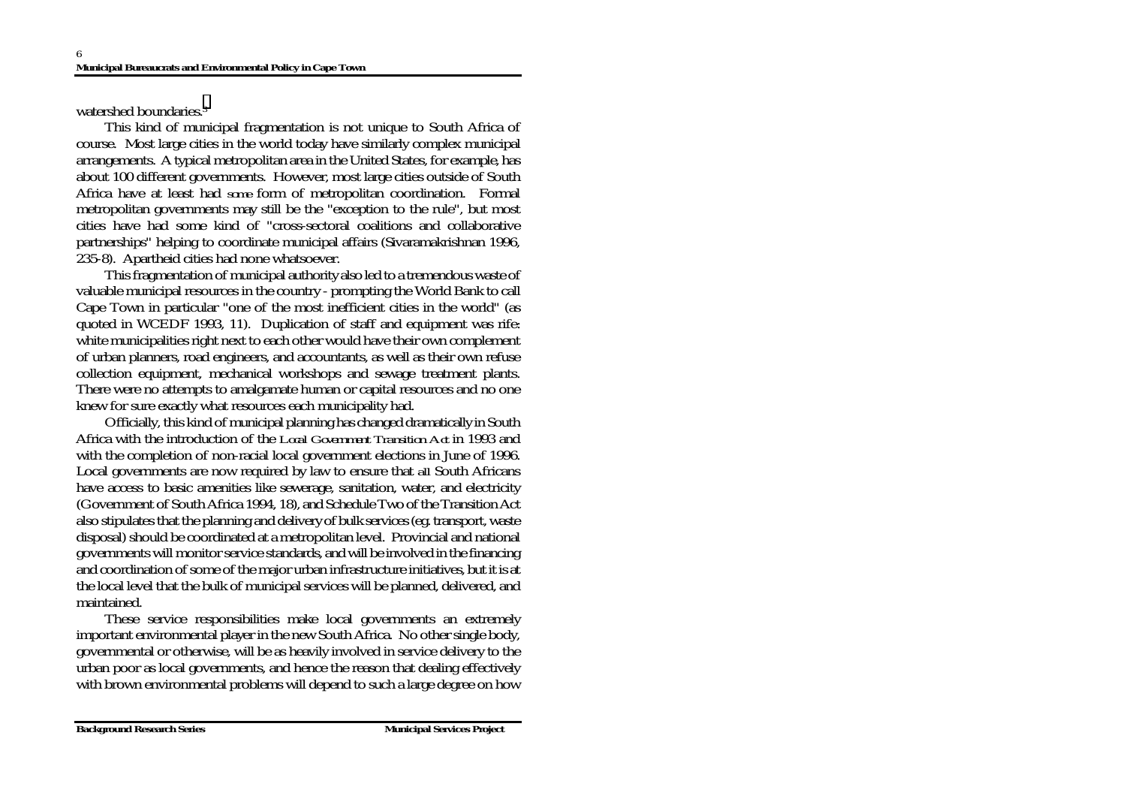watershed boundaries.[3](#page-23-0)

This kind of municipal fragmentation is not unique to South Africa of course. Most large cities in the world today have similarly complex municipal arrangements. A typical metropolitan area in the United States, for example, has about 100 different governments. However, most large cities outside of South Africa have at least had *some* form of metropolitan coordination. Formal metropolitan governments may still be the "exception to the rule", but most cities have had some kind of "cross-sectoral coalitions and collaborative partnerships" helping to coordinate municipal affairs (Sivaramakrishnan 1996, 235-8). Apartheid cities had none whatsoever.

This fragmentation of municipal authority also led to a tremendous waste of valuable municipal resources in the country - prompting the World Bank to call Cape Town in particular "one of the most inefficient cities in the world" (as quoted in WCEDF 1993, 11). Duplication of staff and equipment was rife: white municipalities right next to each other would have their own complement of urban planners, road engineers, and accountants, as well as their own refuse collection equipment, mechanical workshops and sewage treatment plants. There were no attempts to amalgamate human or capital resources and no one knew for sure exactly what resources each municipality had.

Officially, this kind of municipal planning has changed dramatically in South Africa with the introduction of the *Local Government Transition Act* in 1993 and with the completion of non-racial local government elections in June of 1996. Local governments are now required by law to ensure that *all* South Africans have access to basic amenities like sewerage, sanitation, water, and electricity (Government of South Africa 1994, 18), and Schedule Two of the Transition Act also stipulates that the planning and delivery of bulk services (eg. transport, waste disposal) should be coordinated at a metropolitan level. Provincial and national governments will monitor service standards, and will be involved in the financing and coordination of some of the major urban infrastructure initiatives, but it is at the local level that the bulk of municipal services will be planned, delivered, and maintained.

These service responsibilities make local governments an extremely important environmental player in the new South Africa. No other single body, governmental or otherwise, will be as heavily involved in service delivery to the urban poor as local governments, and hence the reason that dealing effectively with brown environmental problems will depend to such a large degree on how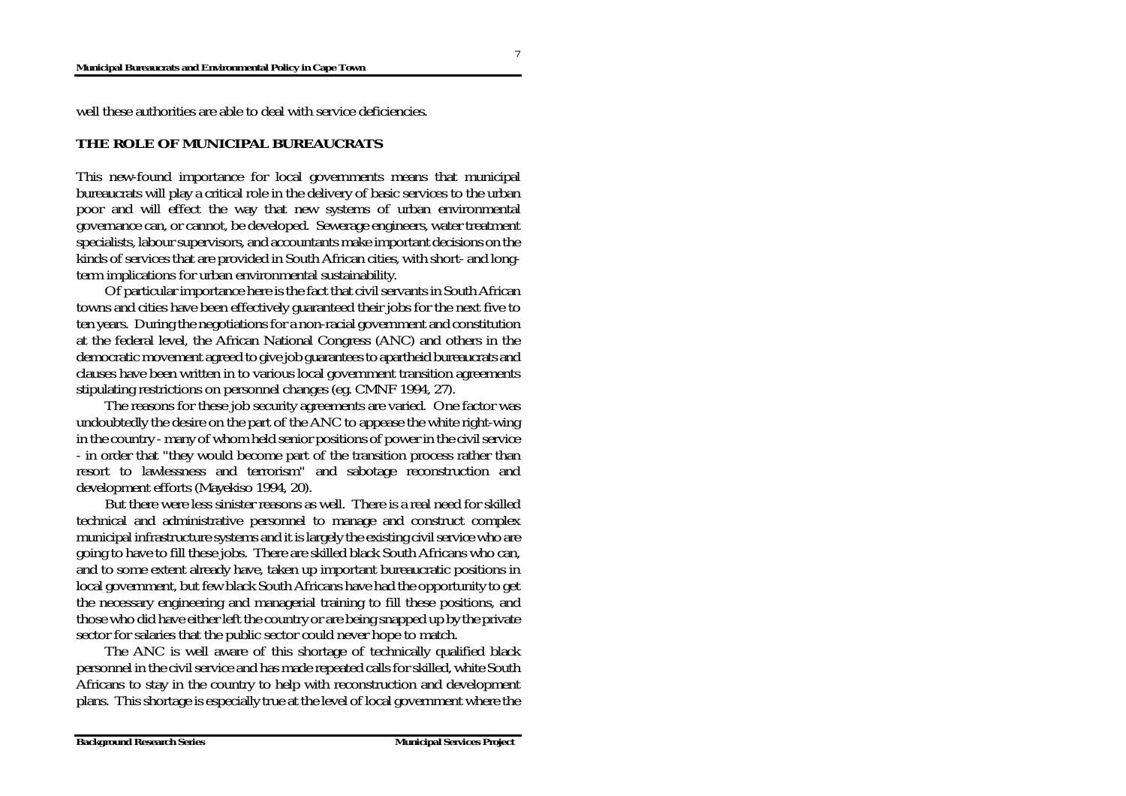#### **Municipal Bureaucrats and Environmental Policy in Cape Town**

well these authorities are able to deal with service deficiencies.

### **THE ROLE OF MUNICIPAL BUREAUCRATS**

This new-found importance for local governments means that municipal bureaucrats will play a critical role in the delivery of basic services to the urban poor and will effect the way that new systems of urban environmental governance can, or cannot, be developed. Sewerage engineers, water treatment specialists, labour supervisors, and accountants make important decisions on the kinds of services that are provided in South African cities, with short- and longterm implications for urban environmental sustainability.

Of particular importance here is the fact that civil servants in South African towns and cities have been effectively guaranteed their jobs for the next five to ten years. During the negotiations for a non-racial government and constitution at the federal level, the African National Congress (ANC) and others in the democratic movement agreed to give job guarantees to apartheid bureaucrats and clauses have been written in to various local government transition agreements stipulating restrictions on personnel changes (eg. CMNF 1994, 27).

The reasons for these job security agreements are varied. One factor was undoubtedly the desire on the part of the ANC to appease the white right-wing in the country - many of whom held senior positions of power in the civil service - in order that "they would become part of the transition process rather than resort to lawlessness and terrorism" and sabotage reconstruction and development efforts (Mayekiso 1994, 20).

But there were less sinister reasons as well. There is a real need for skilled technical and administrative personnel to manage and construct complex municipal infrastructure systems and it is largely the existing civil service who are going to have to fill these jobs. There are skilled black South Africans who can, and to some extent already have, taken up important bureaucratic positions in local government, but few black South Africans have had the opportunity to get the necessary engineering and managerial training to fill these positions, and those who did have either left the country or are being snapped up by the private sector for salaries that the public sector could never hope to match.

The ANC is well aware of this shortage of technically qualified black personnel in the civil service and has made repeated calls for skilled, white South Africans to stay in the country to help with reconstruction and development plans. This shortage is especially true at the level of local government where the

7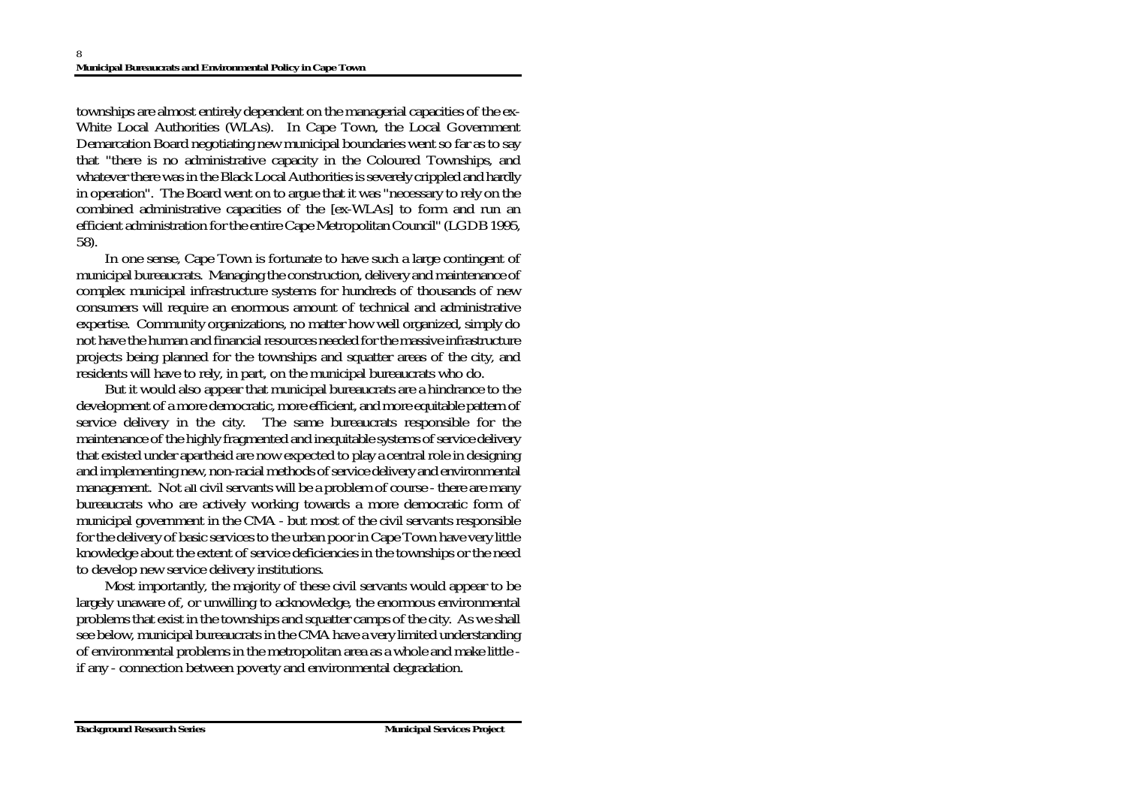townships are almost entirely dependent on the managerial capacities of the ex-White Local Authorities (WLAs). In Cape Town, the Local Government Demarcation Board negotiating new municipal boundaries went so far as to say that "there is no administrative capacity in the Coloured Townships, and whatever there was in the Black Local Authorities is severely crippled and hardly in operation". The Board went on to argue that it was "necessary to rely on the combined administrative capacities of the [ex-WLAs] to form and run an efficient administration for the entire Cape Metropolitan Council" (LGDB 1995, 58).

In one sense, Cape Town is fortunate to have such a large contingent of municipal bureaucrats. Managing the construction, delivery and maintenance of complex municipal infrastructure systems for hundreds of thousands of new consumers will require an enormous amount of technical and administrative expertise. Community organizations, no matter how well organized, simply do not have the human and financial resources needed for the massive infrastructure projects being planned for the townships and squatter areas of the city, and residents will have to rely, in part, on the municipal bureaucrats who do.

But it would also appear that municipal bureaucrats are a hindrance to the development of a more democratic, more efficient, and more equitable pattern of service delivery in the city. The same bureaucrats responsible for the maintenance of the highly fragmented and inequitable systems of service delivery that existed under apartheid are now expected to play a central role in designing and implementing new, non-racial methods of service delivery and environmental management. Not *all* civil servants will be a problem of course - there are many bureaucrats who are actively working towards a more democratic form of municipal government in the CMA - but most of the civil servants responsible for the delivery of basic services to the urban poor in Cape Town have very little knowledge about the extent of service deficiencies in the townships or the need to develop new service delivery institutions.

Most importantly, the majority of these civil servants would appear to be largely unaware of, or unwilling to acknowledge, the enormous environmental problems that exist in the townships and squatter camps of the city. As we shall see below, municipal bureaucrats in the CMA have a very limited understanding of environmental problems in the metropolitan area as a whole and make little if any - connection between poverty and environmental degradation.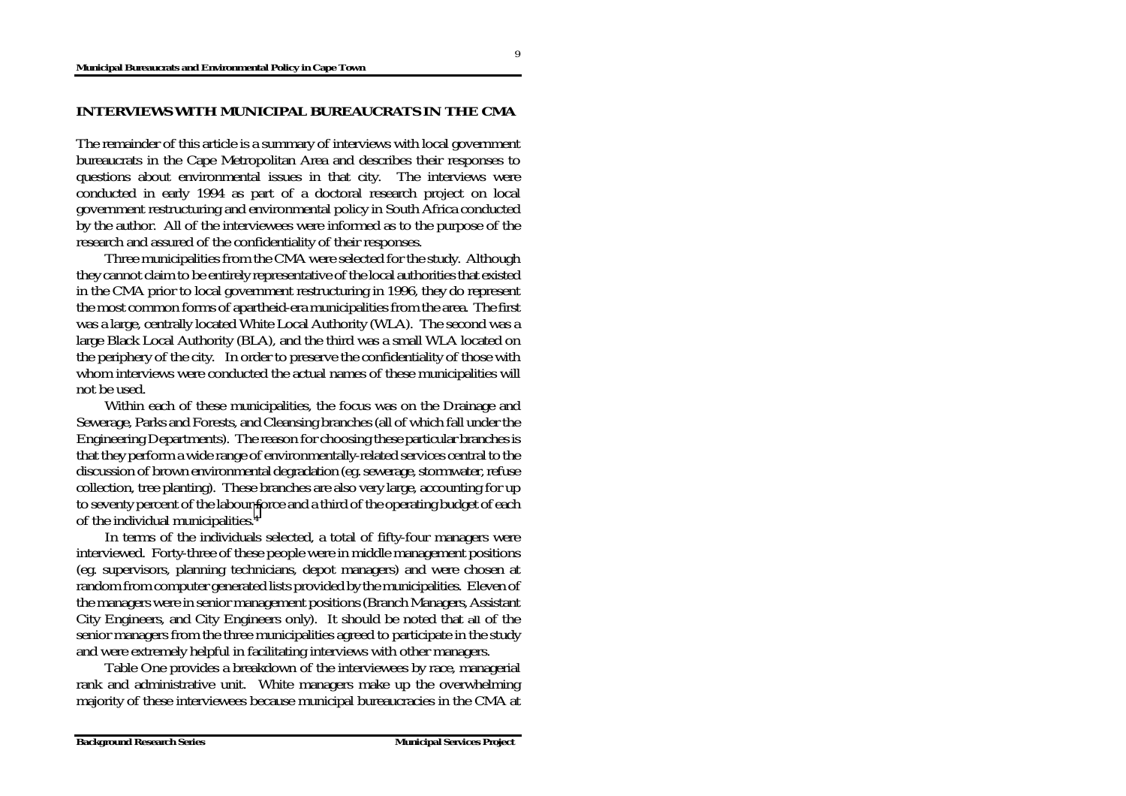## **INTERVIEWS WITH MUNICIPAL BUREAUCRATS IN THE CMA**

The remainder of this article is a summary of interviews with local government bureaucrats in the Cape Metropolitan Area and describes their responses to questions about environmental issues in that city. The interviews were conducted in early 1994 as part of a doctoral research project on local government restructuring and environmental policy in South Africa conducted by the author. All of the interviewees were informed as to the purpose of the research and assured of the confidentiality of their responses.

Three municipalities from the CMA were selected for the study. Although they cannot claim to be entirely representative of the local authorities that existed in the CMA prior to local government restructuring in 1996, they do represent the most common forms of apartheid-era municipalities from the area. The first was a large, centrally located White Local Authority (WLA). The second was a large Black Local Authority (BLA), and the third was a small WLA located on the periphery of the city. In order to preserve the confidentiality of those with whom interviews were conducted the actual names of these municipalities will not be used.

Within each of these municipalities, the focus was on the Drainage and Sewerage, Parks and Forests, and Cleansing branches (all of which fall under the Engineering Departments). The reason for choosing these particular branches is that they perform a wide range of environmentally-related services central to the discussion of brown environmental degradation (eg. sewerage, stormwater, refuse collection, tree planting). These branches are also very large, accounting for up to seventy percent of the labour [fo](#page-23-0)rce and a third of the operating budget of each of the individual municipalities.4

In terms of the individuals selected, a total of fifty-four managers were interviewed. Forty-three of these people were in middle management positions (eg. supervisors, planning technicians, depot managers) and were chosen at random from computer generated lists provided by the municipalities. Eleven of the managers were in senior management positions (Branch Managers, Assistant City Engineers, and City Engineers only). It should be noted that *all* of the senior managers from the three municipalities agreed to participate in the study and were extremely helpful in facilitating interviews with other managers.

Table One provides a breakdown of the interviewees by race, managerial rank and administrative unit. White managers make up the overwhelming majority of these interviewees because municipal bureaucracies in the CMA at

9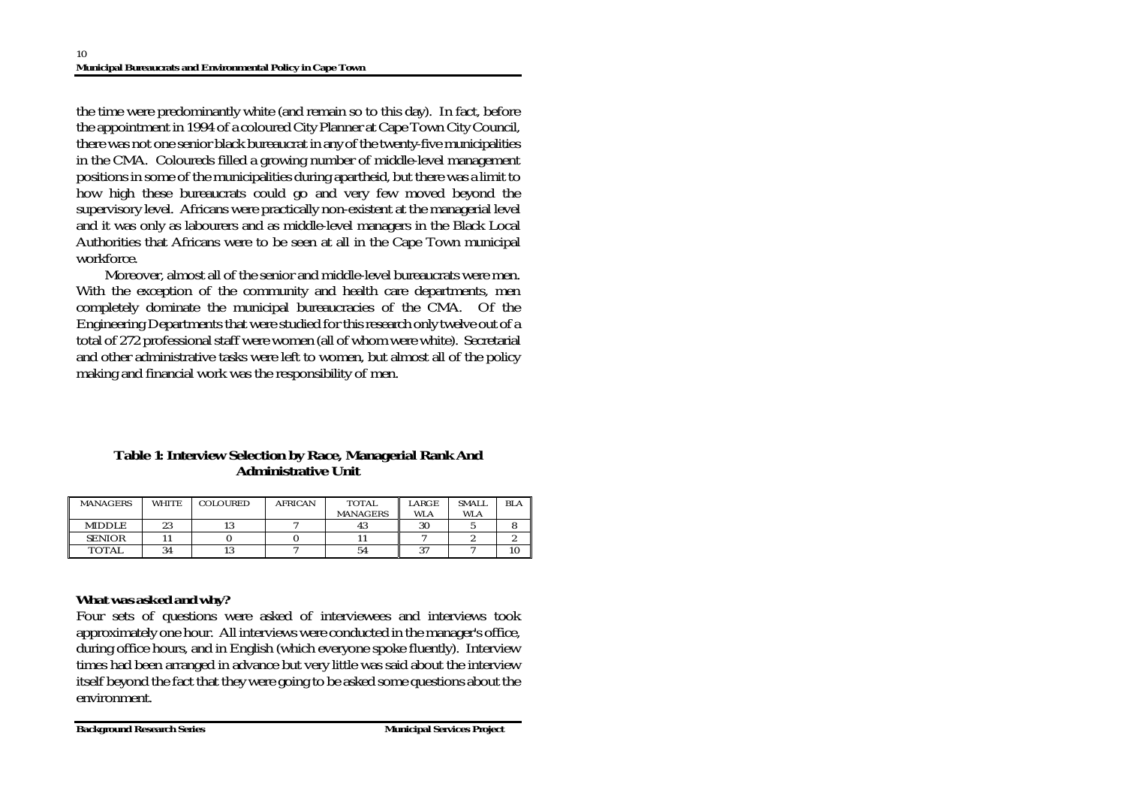the time were predominantly white (and remain so to this day). In fact, before the appointment in 1994 of a coloured City Planner at Cape Town City Council, there was not one senior black bureaucrat in any of the twenty-five municipalities in the CMA. Coloureds filled a growing number of middle-level management positions in some of the municipalities during apartheid, but there was a limit to how high these bureaucrats could go and very few moved beyond the supervisory level. Africans were practically non-existent at the managerial level and it was only as labourers and as middle-level managers in the Black Local Authorities that Africans were to be seen at all in the Cape Town municipal workforce.

Moreover, almost all of the senior and middle-level bureaucrats were men. With the exception of the community and health care departments, men completely dominate the municipal bureaucracies of the CMA. Of the Engineering Departments that were studied for this research only twelve out of a total of 272 professional staff were women (all of whom were white). Secretarial and other administrative tasks were left to women, but almost all of the policy making and financial work was the responsibility of men.

## **Table 1: Interview Selection by Race, Managerial Rank And Administrative Unit**

| <b>MANAGERS</b> | WHITE | <b>COLOURED</b> | <b>AFRICAN</b> | <b>TOTAL</b>    | ARGE             | <b>SMALL</b> | <b>BLA</b> |
|-----------------|-------|-----------------|----------------|-----------------|------------------|--------------|------------|
|                 |       |                 |                | <b>MANAGERS</b> | <b>WLA</b>       | <b>WLA</b>   |            |
| <b>MIDDLE</b>   | 23    | ⊥∪              |                | 43              | 30               |              |            |
| <b>SENIOR</b>   |       |                 |                |                 |                  |              |            |
| <b>TOTAL</b>    | 34    | ıυ              |                | 54              | $\Omega$<br>, 11 |              | 10         |

# *What was asked and why?*

Four sets of questions were asked of interviewees and interviews took approximately one hour. All interviews were conducted in the manager's office, during office hours, and in English (which everyone spoke fluently). Interview times had been arranged in advance but very little was said about the interview itself beyond the fact that they were going to be asked some questions about the environment.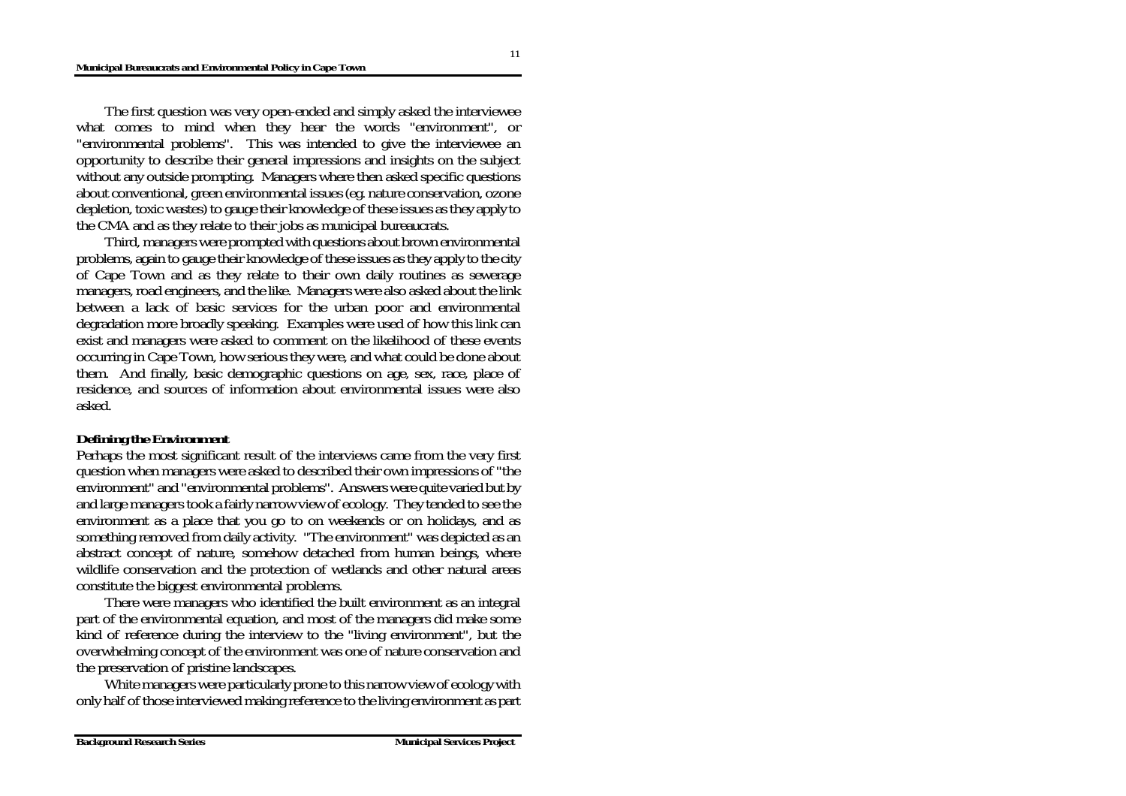The first question was very open-ended and simply asked the interviewee what comes to mind when they hear the words "environment", or "environmental problems". This was intended to give the interviewee an opportunity to describe their general impressions and insights on the subject without any outside prompting. Managers where then asked specific questions about conventional, green environmental issues (eg. nature conservation, ozone depletion, toxic wastes) to gauge their knowledge of these issues as they apply to the CMA and as they relate to their jobs as municipal bureaucrats.

Third, managers were prompted with questions about brown environmental problems, again to gauge their knowledge of these issues as they apply to the city of Cape Town and as they relate to their own daily routines as sewerage managers, road engineers, and the like. Managers were also asked about the link between a lack of basic services for the urban poor and environmental degradation more broadly speaking. Examples were used of how this link can exist and managers were asked to comment on the likelihood of these events occurring in Cape Town, how serious they were, and what could be done about them. And finally, basic demographic questions on age, sex, race, place of residence, and sources of information about environmental issues were also asked.

### *Defining the Environment*

Perhaps the most significant result of the interviews came from the very first question when managers were asked to described their own impressions of "the environment" and "environmental problems". Answers were quite varied but by and large managers took a fairly narrow view of ecology. They tended to see the environment as a place that you go to on weekends or on holidays, and as something removed from daily activity. "The environment" was depicted as an abstract concept of nature, somehow detached from human beings, where wildlife conservation and the protection of wetlands and other natural areas constitute the biggest environmental problems.

There were managers who identified the built environment as an integral part of the environmental equation, and most of the managers did make some kind of reference during the interview to the "living environment", but the overwhelming concept of the environment was one of nature conservation and the preservation of pristine landscapes.

White managers were particularly prone to this narrow view of ecology with only half of those interviewed making reference to the living environment as part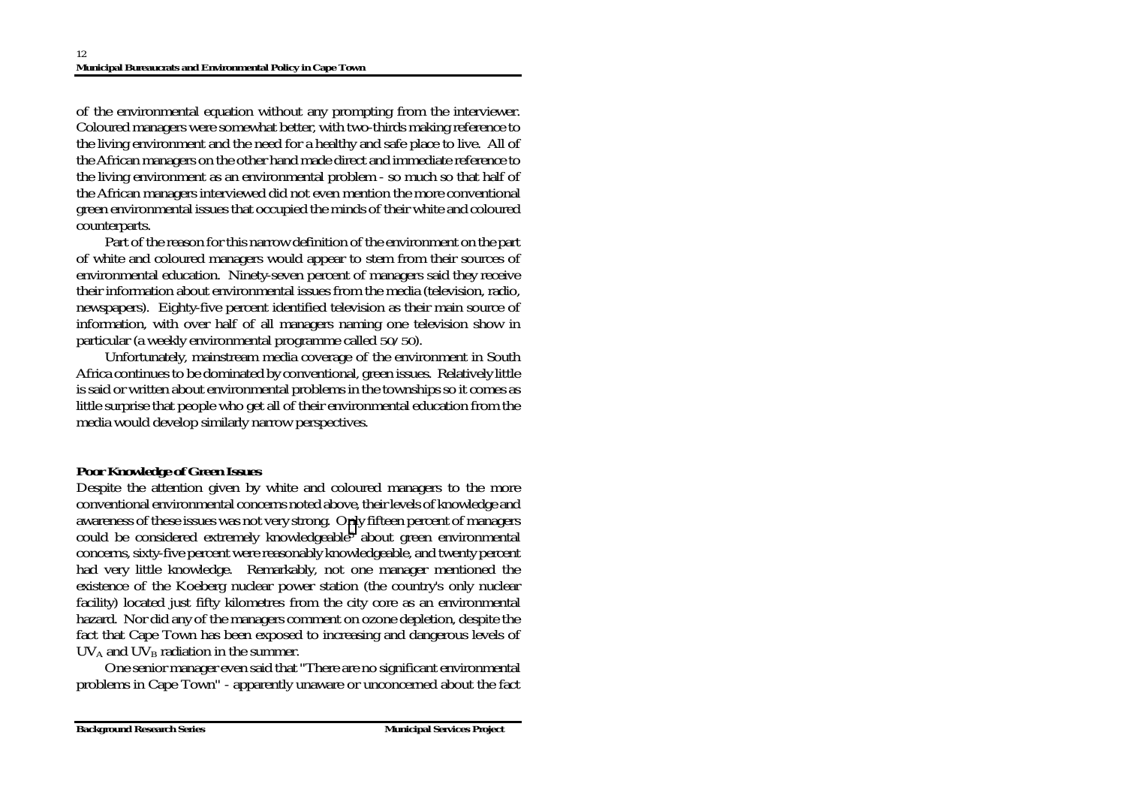of the environmental equation without any prompting from the interviewer. Coloured managers were somewhat better, with two-thirds making reference to the living environment and the need for a healthy and safe place to live. All of the African managers on the other hand made direct and immediate reference to the living environment as an environmental problem - so much so that half of the African managers interviewed did not even mention the more conventional green environmental issues that occupied the minds of their white and coloured counterparts.

Part of the reason for this narrow definition of the environment on the part of white and coloured managers would appear to stem from their sources of environmental education. Ninety-seven percent of managers said they receive their information about environmental issues from the media (television, radio, newspapers). Eighty-five percent identified television as their main source of information, with over half of all managers naming one television show in particular (a weekly environmental programme called *50/50*).

Unfortunately, mainstream media coverage of the environment in South Africa continues to be dominated by conventional, green issues. Relatively little is said or written about environmental problems in the townships so it comes as little surprise that people who get all of their environmental education from the media would develop similarly narrow perspectives.

# *Poor Knowledge of Green Issues*

Despite the attention given by white and coloured managers to the more conventional environmental concerns noted above, their levels of knowledge and awareness of these issues was not very strong. O[nl](#page-23-0)y fifteen percent of managers could be considered extremely knowledgeable5 about green environmental concerns, sixty-five percent were reasonably knowledgeable, and twenty percent had very little knowledge. Remarkably, not one manager mentioned the existence of the Koeberg nuclear power station (the country's only nuclear facility) located just fifty kilometres from the city core as an environmental hazard. Nor did any of the managers comment on ozone depletion, despite the fact that Cape Town has been exposed to increasing and dangerous levels of  $UV_A$  and  $UV_B$  radiation in the summer.

One senior manager even said that "There are no significant environmental problems in Cape Town" - apparently unaware or unconcerned about the fact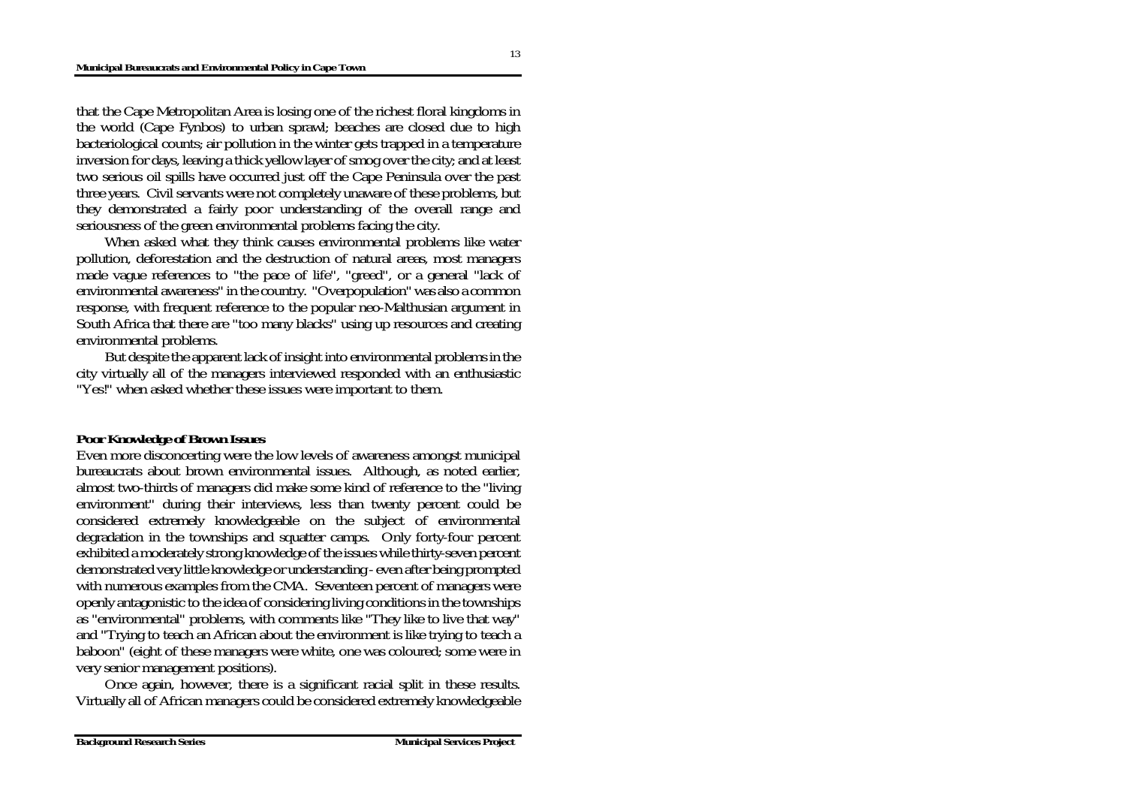that the Cape Metropolitan Area is losing one of the richest floral kingdoms in the world (Cape Fynbos) to urban sprawl; beaches are closed due to high bacteriological counts; air pollution in the winter gets trapped in a temperature inversion for days, leaving a thick yellow layer of smog over the city; and at least two serious oil spills have occurred just off the Cape Peninsula over the past three years. Civil servants were not completely unaware of these problems, but they demonstrated a fairly poor understanding of the overall range and seriousness of the green environmental problems facing the city.

When asked what they think causes environmental problems like water pollution, deforestation and the destruction of natural areas, most managers made vague references to "the pace of life", "greed", or a general "lack of environmental awareness" in the country. "Overpopulation" was also a common response, with frequent reference to the popular neo-Malthusian argument in South Africa that there are "too many blacks" using up resources and creating environmental problems.

But despite the apparent lack of insight into environmental problems in the city virtually all of the managers interviewed responded with an enthusiastic "Yes!" when asked whether these issues were important to them.

### *Poor Knowledge of Brown Issues*

Even more disconcerting were the low levels of awareness amongst municipal bureaucrats about brown environmental issues. Although, as noted earlier, almost two-thirds of managers did make some kind of reference to the "living environment" during their interviews, less than twenty percent could be considered extremely knowledgeable on the subject of environmental degradation in the townships and squatter camps. Only forty-four percent exhibited a moderately strong knowledge of the issues while thirty-seven percent demonstrated very little knowledge or understanding - even after being prompted with numerous examples from the CMA. Seventeen percent of managers were openly antagonistic to the idea of considering living conditions in the townships as "environmental" problems, with comments like "They like to live that way" and "Trying to teach an African about the environment is like trying to teach a baboon" (eight of these managers were white, one was coloured; some were in very senior management positions).

Once again, however, there is a significant racial split in these results. Virtually all of African managers could be considered extremely knowledgeable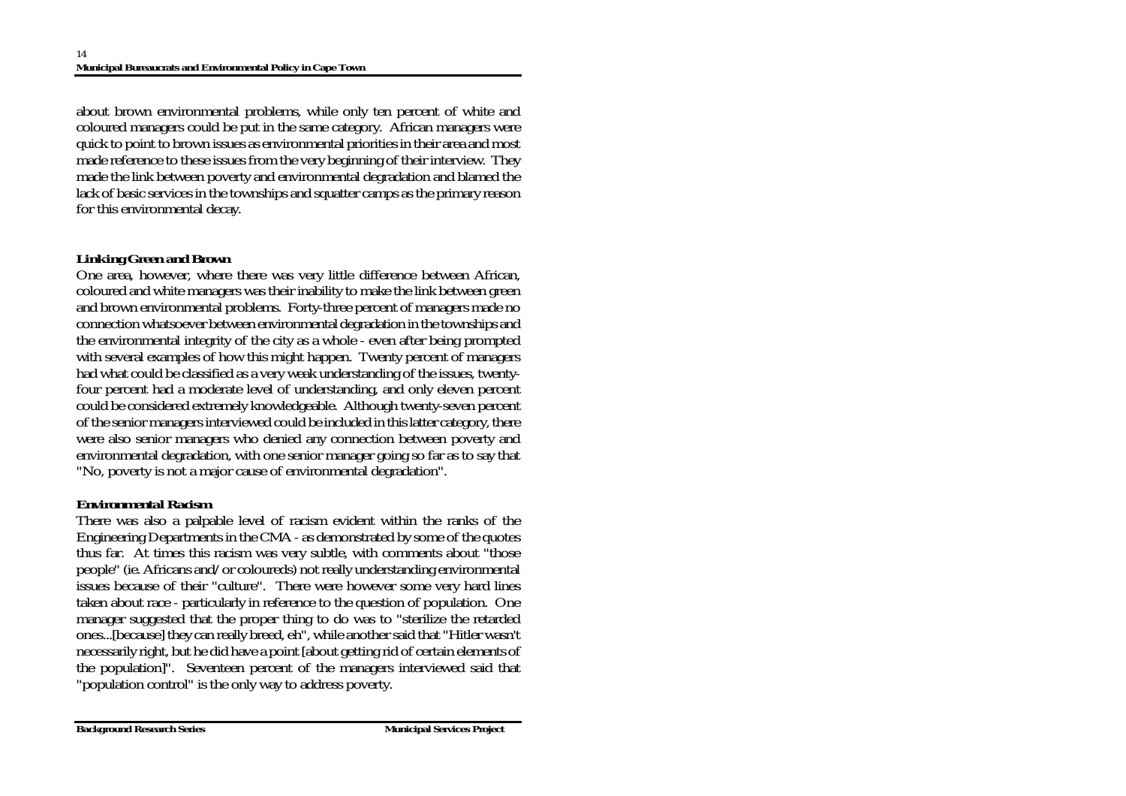about brown environmental problems, while only ten percent of white and coloured managers could be put in the same category. African managers were quick to point to brown issues as environmental priorities in their area and most made reference to these issues from the very beginning of their interview. They made the link between poverty and environmental degradation and blamed the lack of basic services in the townships and squatter camps as the primary reason for this environmental decay.

## *Linking Green and Brown*

One area, however, where there was very little difference between African, coloured and white managers was their inability to make the link between green and brown environmental problems. Forty-three percent of managers made no connection whatsoever between environmental degradation in the townships and the environmental integrity of the city as a whole - even after being prompted with several examples of how this might happen. Twenty percent of managers had what could be classified as a very weak understanding of the issues, twentyfour percent had a moderate level of understanding, and only eleven percent could be considered extremely knowledgeable. Although twenty-seven percent of the senior managers interviewed could be included in this latter category, there were also senior managers who denied any connection between poverty and environmental degradation, with one senior manager going so far as to say that "No, poverty is not a major cause of environmental degradation".

## *Environmental Racism*

There was also a palpable level of racism evident within the ranks of the Engineering Departments in the CMA - as demonstrated by some of the quotes thus far. At times this racism was very subtle, with comments about "those people" (ie. Africans and/or coloureds) not really understanding environmental issues because of their "culture". There were however some very hard lines taken about race - particularly in reference to the question of population. One manager suggested that the proper thing to do was to "sterilize the retarded ones...[because] they can really breed, eh", while another said that "Hitler wasn't necessarily right, but he did have a point [about getting rid of certain elements of the population]". Seventeen percent of the managers interviewed said that "population control" is the only way to address poverty.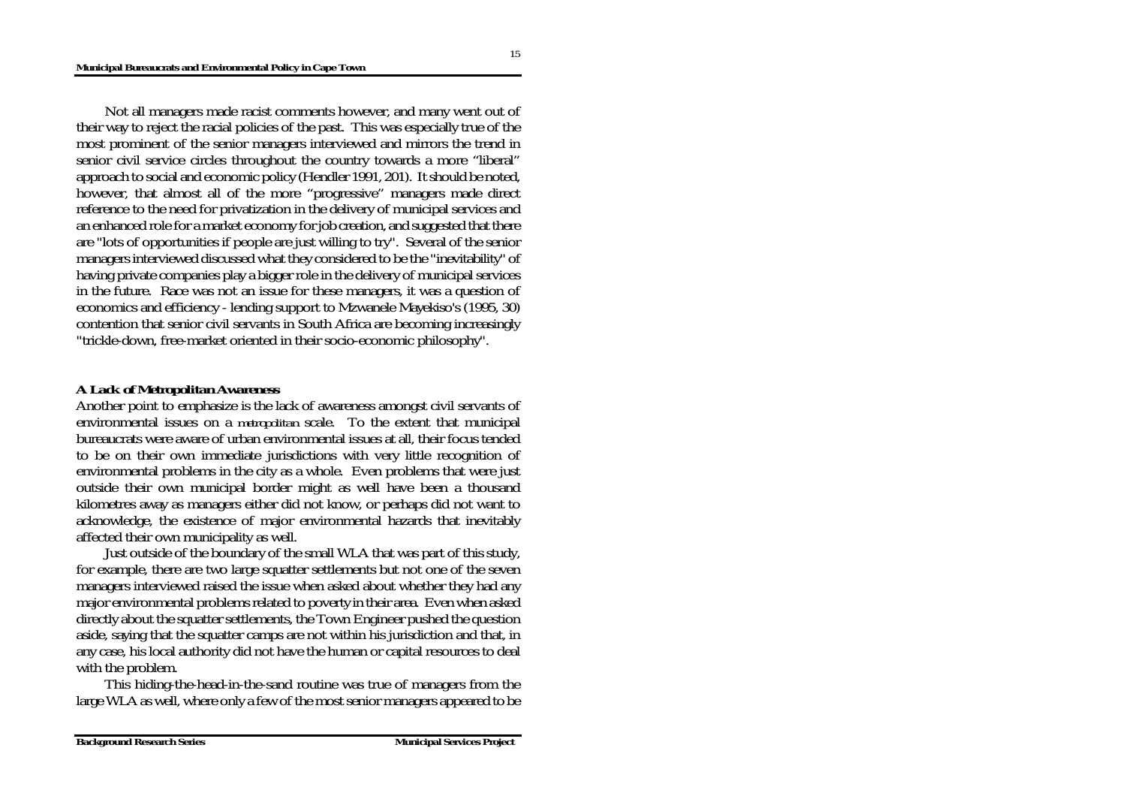Not all managers made racist comments however, and many went out of their way to reject the racial policies of the past. This was especially true of the most prominent of the senior managers interviewed and mirrors the trend in senior civil service circles throughout the country towards a more "liberal" approach to social and economic policy (Hendler 1991, 201). It should be noted, however, that almost all of the more "progressive" managers made direct reference to the need for privatization in the delivery of municipal services and an enhanced role for a market economy for job creation, and suggested that there are "lots of opportunities if people are just willing to try". Several of the senior managers interviewed discussed what they considered to be the "inevitability" of having private companies play a bigger role in the delivery of municipal services in the future. Race was not an issue for these managers, it was a question of economics and efficiency - lending support to Mzwanele Mayekiso's (1995, 30) contention that senior civil servants in South Africa are becoming increasingly "trickle-down, free-market oriented in their socio-economic philosophy".

### *A Lack of Metropolitan Awareness*

Another point to emphasize is the lack of awareness amongst civil servants of environmental issues on a *metropolitan* scale. To the extent that municipal bureaucrats were aware of urban environmental issues at all, their focus tended to be on their own immediate jurisdictions with very little recognition of environmental problems in the city as a whole. Even problems that were just outside their own municipal border might as well have been a thousand kilometres away as managers either did not know, or perhaps did not want to acknowledge, the existence of major environmental hazards that inevitably affected their own municipality as well.

Just outside of the boundary of the small WLA that was part of this study, for example, there are two large squatter settlements but not one of the seven managers interviewed raised the issue when asked about whether they had any major environmental problems related to poverty in their area. Even when asked directly about the squatter settlements, the Town Engineer pushed the question aside, saying that the squatter camps are not within his jurisdiction and that, in any case, his local authority did not have the human or capital resources to deal with the problem.

This hiding-the-head-in-the-sand routine was true of managers from the large WLA as well, where only a few of the most senior managers appeared to be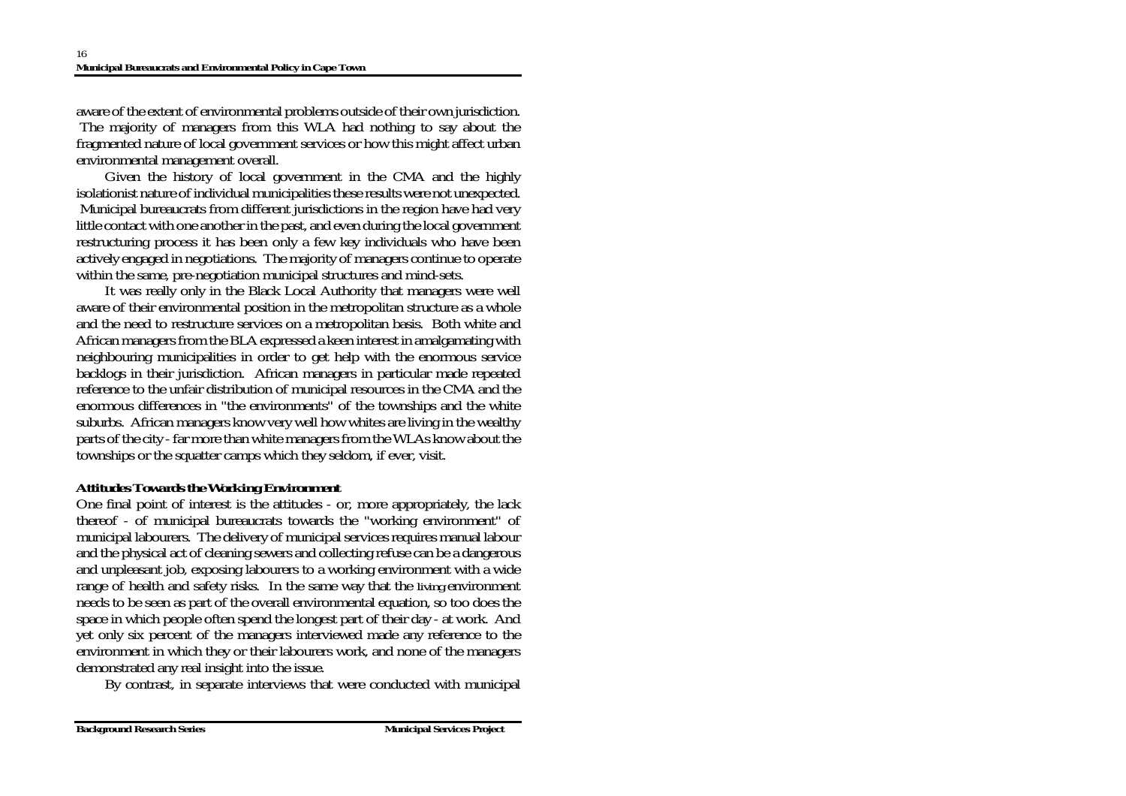aware of the extent of environmental problems outside of their own jurisdiction. The majority of managers from this WLA had nothing to say about the fragmented nature of local government services or how this might affect urban environmental management overall.

Given the history of local government in the CMA and the highly isolationist nature of individual municipalities these results were not unexpected. Municipal bureaucrats from different jurisdictions in the region have had very little contact with one another in the past, and even during the local government restructuring process it has been only a few key individuals who have been actively engaged in negotiations. The majority of managers continue to operate within the same, pre-negotiation municipal structures and mind-sets.

It was really only in the Black Local Authority that managers were well aware of their environmental position in the metropolitan structure as a whole and the need to restructure services on a metropolitan basis. Both white and African managers from the BLA expressed a keen interest in amalgamating with neighbouring municipalities in order to get help with the enormous service backlogs in their jurisdiction. African managers in particular made repeated reference to the unfair distribution of municipal resources in the CMA and the enormous differences in "the environments" of the townships and the white suburbs. African managers know very well how whites are living in the wealthy parts of the city - far more than white managers from the WLAs know about the townships or the squatter camps which they seldom, if ever, visit.

### *Attitudes Towards the Working Environment*

One final point of interest is the attitudes - or, more appropriately, the lack thereof - of municipal bureaucrats towards the "working environment" of municipal labourers. The delivery of municipal services requires manual labour and the physical act of cleaning sewers and collecting refuse can be a dangerous and unpleasant job, exposing labourers to a working environment with a wide range of health and safety risks. In the same way that the *living* environment needs to be seen as part of the overall environmental equation, so too does the space in which people often spend the longest part of their day - at work. And yet only six percent of the managers interviewed made any reference to the environment in which they or their labourers work, and none of the managers demonstrated any real insight into the issue.

By contrast, in separate interviews that were conducted with municipal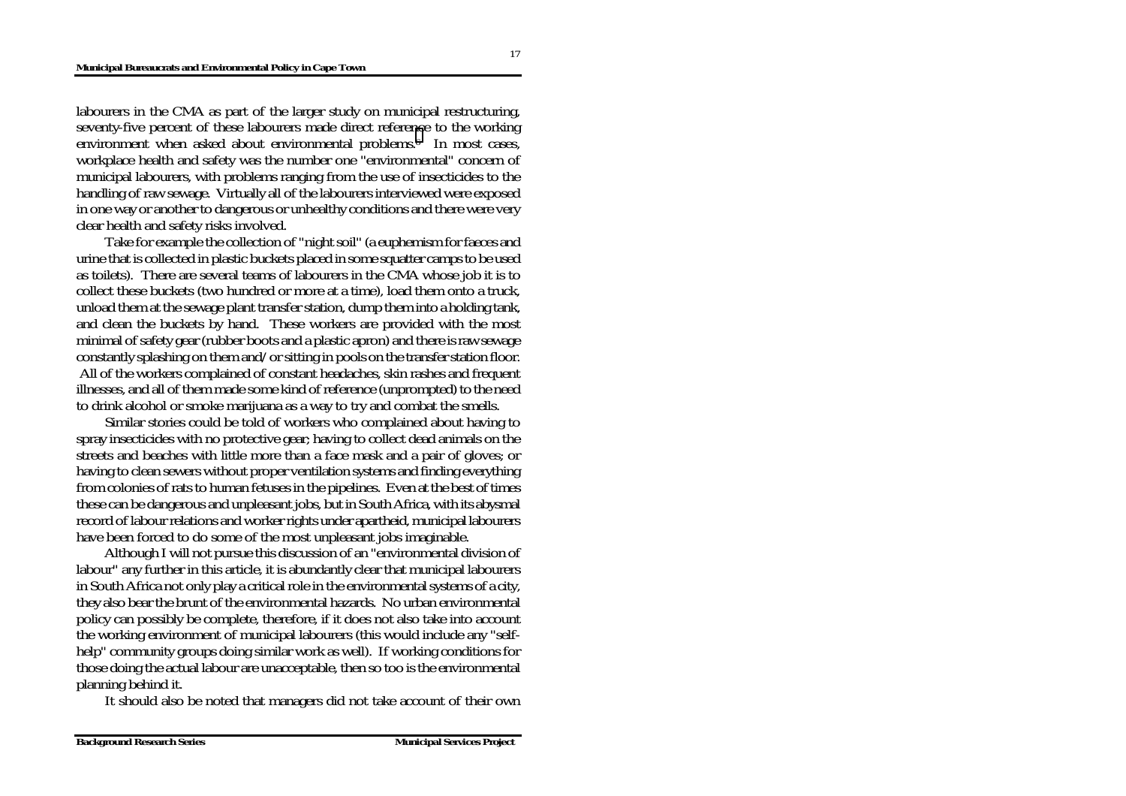labourers in the CMA as part of the larger study on municipal restructuring, seventy-five percent of these labourers made direct refere[nc](#page-23-0)e to the working environment when asked about environmental problems.<sup>6</sup> In most cases, workplace health and safety was the number one "environmental" concern of municipal labourers, with problems ranging from the use of insecticides to the handling of raw sewage. Virtually all of the labourers interviewed were exposed in one way or another to dangerous or unhealthy conditions and there were very clear health and safety risks involved.

Take for example the collection of "night soil" (a euphemism for faeces and urine that is collected in plastic buckets placed in some squatter camps to be used as toilets). There are several teams of labourers in the CMA whose job it is to collect these buckets (two hundred or more at a time), load them onto a truck, unload them at the sewage plant transfer station, dump them into a holding tank, and clean the buckets by hand. These workers are provided with the most minimal of safety gear (rubber boots and a plastic apron) and there is raw sewage constantly splashing on them and/or sitting in pools on the transfer station floor. All of the workers complained of constant headaches, skin rashes and frequent illnesses, and all of them made some kind of reference (unprompted) to the need to drink alcohol or smoke marijuana as a way to try and combat the smells.

Similar stories could be told of workers who complained about having to spray insecticides with no protective gear; having to collect dead animals on the streets and beaches with little more than a face mask and a pair of gloves; or having to clean sewers without proper ventilation systems and finding everything from colonies of rats to human fetuses in the pipelines. Even at the best of times these can be dangerous and unpleasant jobs, but in South Africa, with its abysmal record of labour relations and worker rights under apartheid, municipal labourers have been forced to do some of the most unpleasant jobs imaginable.

Although I will not pursue this discussion of an "environmental division of labour" any further in this article, it is abundantly clear that municipal labourers in South Africa not only play a critical role in the environmental systems of a city, they also bear the brunt of the environmental hazards. No urban environmental policy can possibly be complete, therefore, if it does not also take into account the working environment of municipal labourers (this would include any "selfhelp" community groups doing similar work as well). If working conditions for those doing the actual labour are unacceptable, then so too is the environmental planning behind it.

It should also be noted that managers did not take account of their own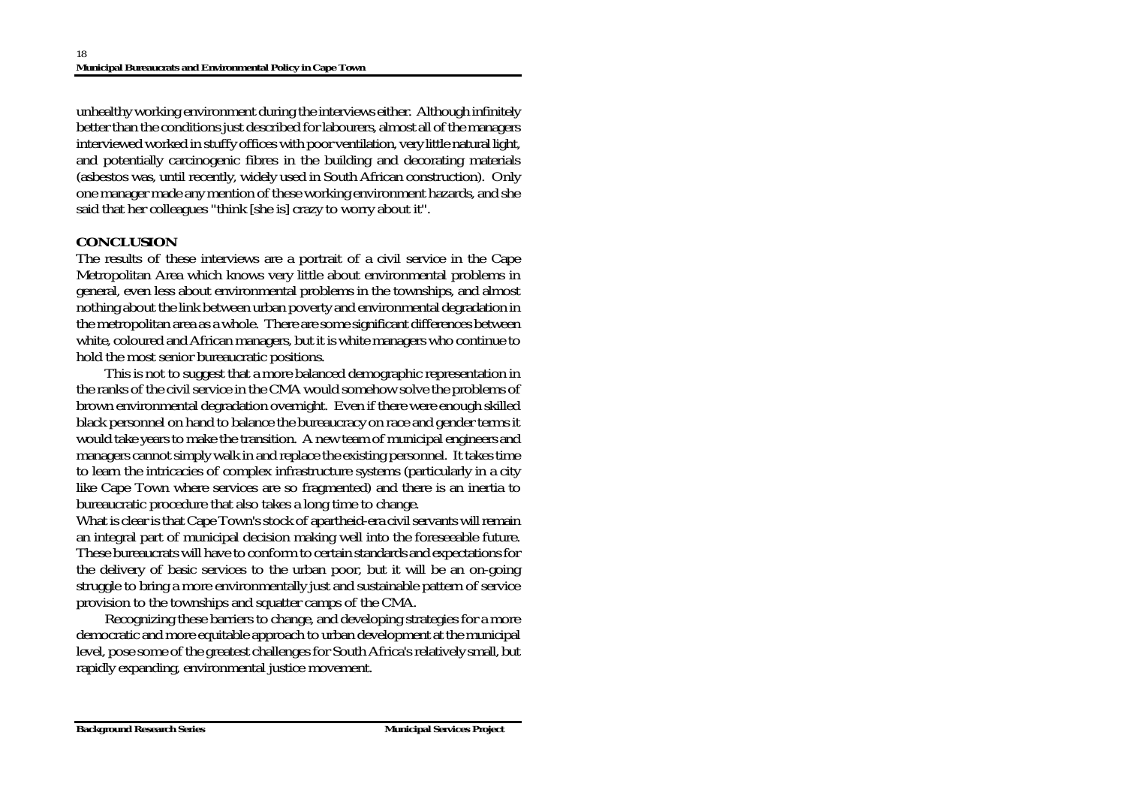unhealthy working environment during the interviews either. Although infinitely better than the conditions just described for labourers, almost all of the managers interviewed worked in stuffy offices with poor ventilation, very little natural light, and potentially carcinogenic fibres in the building and decorating materials (asbestos was, until recently, widely used in South African construction). Only one manager made any mention of these working environment hazards, and she said that her colleagues "think [she is] crazy to worry about it".

# **CONCLUSION**

The results of these interviews are a portrait of a civil service in the Cape Metropolitan Area which knows very little about environmental problems in general, even less about environmental problems in the townships, and almost nothing about the link between urban poverty and environmental degradation in the metropolitan area as a whole. There are some significant differences between white, coloured and African managers, but it is white managers who continue to hold the most senior bureaucratic positions.

This is not to suggest that a more balanced demographic representation in the ranks of the civil service in the CMA would somehow solve the problems of brown environmental degradation overnight. Even if there were enough skilled black personnel on hand to balance the bureaucracy on race and gender terms it would take years to make the transition. A new team of municipal engineers and managers cannot simply walk in and replace the existing personnel. It takes time to learn the intricacies of complex infrastructure systems (particularly in a city like Cape Town where services are so fragmented) and there is an inertia to bureaucratic procedure that also takes a long time to change.

What is clear is that Cape Town's stock of apartheid-era civil servants will remain an integral part of municipal decision making well into the foreseeable future. These bureaucrats will have to conform to certain standards and expectations for the delivery of basic services to the urban poor, but it will be an on-going struggle to bring a more environmentally just and sustainable pattern of service provision to the townships and squatter camps of the CMA.

Recognizing these barriers to change, and developing strategies for a more democratic and more equitable approach to urban development at the municipal level, pose some of the greatest challenges for South Africa's relatively small, but rapidly expanding, environmental justice movement.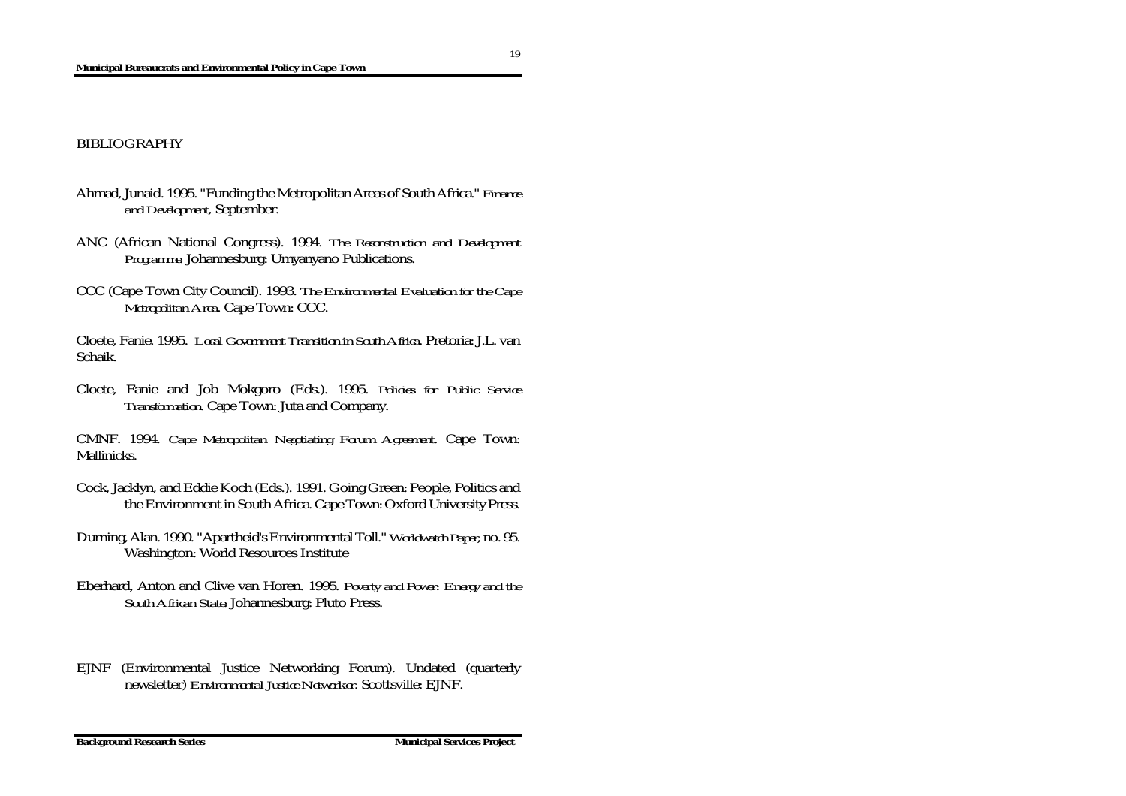#### BIBLIOGRAPHY

- Ahmad, Junaid. 1995. "Funding the Metropolitan Areas of South Africa." *Finance and Development*, September.
- ANC (African National Congress). 1994. *The Reconstruction and Development Programme*. Johannesburg: Umyanyano Publications.
- CCC (Cape Town City Council). 1993. *The Environmental Evaluation for the Cape Metropolitan Area*. Cape Town: CCC.

Cloete, Fanie. 1995. *Local Government Transition in South Africa*. Pretoria: J.L. van Schaik.

Cloete, Fanie and Job Mokgoro (Eds.). 1995. *Policies for Public Service Transformation*. Cape Town: Juta and Company.

CMNF. 1994. *Cape Metropolitan Negotiating Forum Agreement*. Cape Town: Mallinicks.

- Cock, Jacklyn, and Eddie Koch (Eds.). 1991. Going Green: People, Politics and the Environment in South Africa. Cape Town: Oxford University Press.
- Durning, Alan. 1990. "Apartheid's Environmental Toll." *Worldwatch Paper*, no. 95. Washington: World Resources Institute
- Eberhard, Anton and Clive van Horen. 1995. *Poverty and Power: Energy and the South African State*. Johannesburg: Pluto Press.
- EJNF (Environmental Justice Networking Forum). Undated (quarterly newsletter) *Environmental Justice Networker*. Scottsville: EJNF.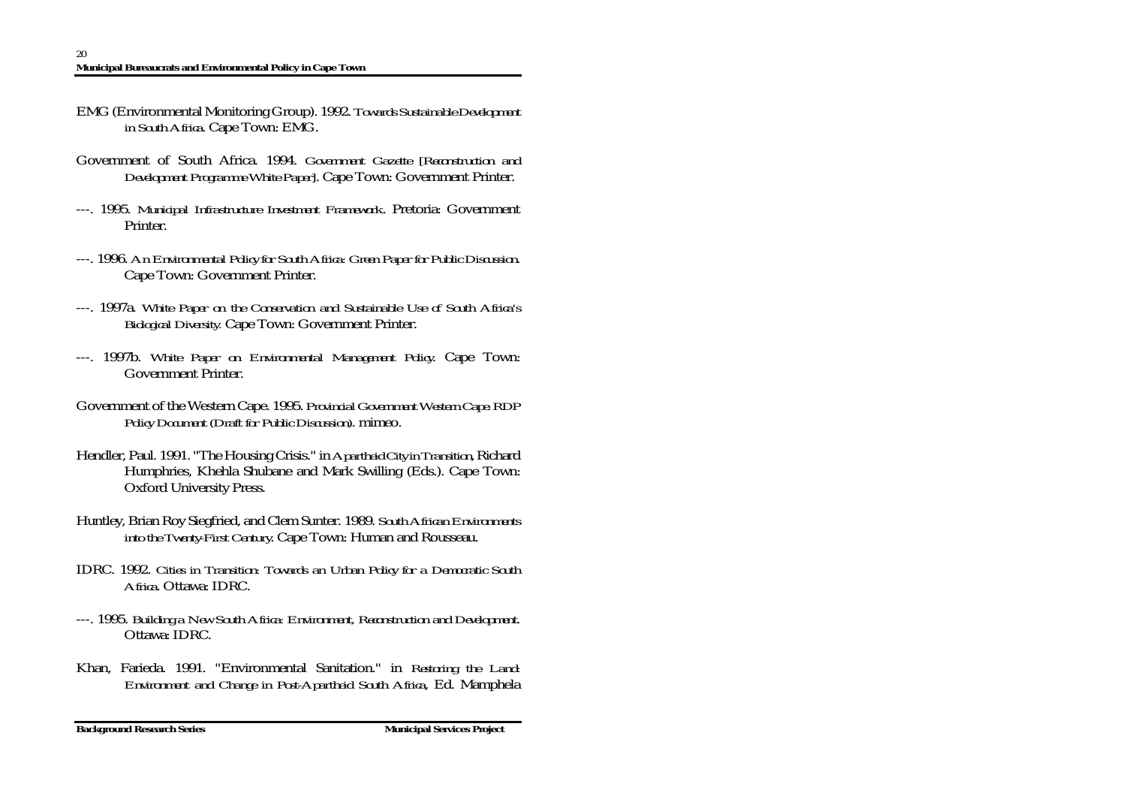- EMG (Environmental Monitoring Group). 1992. *Towards Sustainable Development in South Africa*. Cape Town: EMG.
- Government of South Africa. 1994. *Government Gazette [Reconstruction and Development Programme White Paper]*. Cape Town: Government Printer.
- ---. 1995. *Municipal Infrastructure Investment Framework*. Pretoria: Government Printer.
- ---. 1996. *An Environmental Policy for South Africa: Green Paper for Public Discussion*. Cape Town: Government Printer.
- ---. 1997a. *White Paper on the Conservation and Sustainable Use of South Africa's Biological Diversity.* Cape Town: Government Printer.
- ---. 1997b. *White Paper on Environmental Management Policy*. Cape Town: Government Printer.
- Government of the Western Cape. 1995. *Provincial Government Western Cape: RDP Policy Document (Draft for Public Discussion)*. mimeo.
- Hendler, Paul. 1991. "The Housing Crisis." in *Apartheid City in Transition*, Richard Humphries, Khehla Shubane and Mark Swilling (Eds.). Cape Town: Oxford University Press.
- Huntley, Brian Roy Siegfried, and Clem Sunter. 1989. *South African Environments into the Twenty-First Century*. Cape Town: Human and Rousseau.
- IDRC. 1992. *Cities in Transition: Towards an Urban Policy for a Democratic South Africa*. Ottawa: IDRC.
- ---. 1995. *Building a New South Africa: Environment, Reconstruction and Development*. Ottawa: IDRC.
- Khan, Farieda. 1991. "Environmental Sanitation." in *Restoring the Land: Environment and Change in Post-Apartheid South Africa*, Ed. Mamphela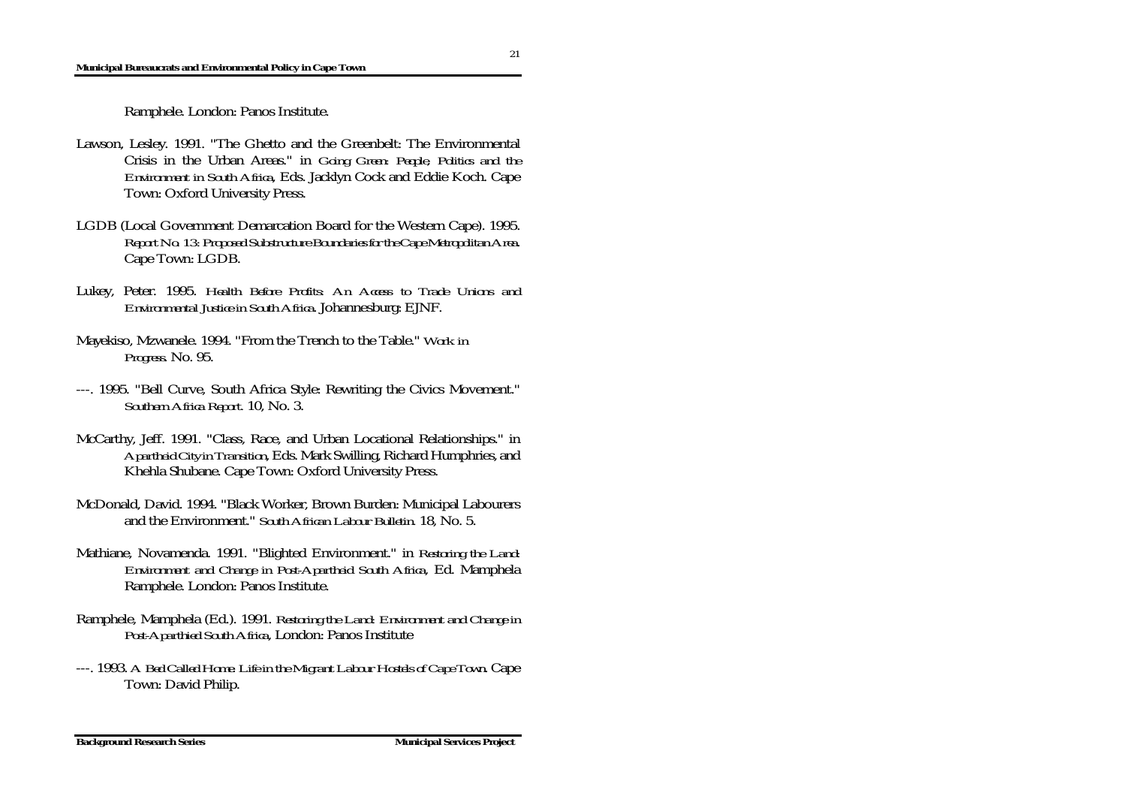#### **Municipal Bureaucrats and Environmental Policy in Cape Town**

Ramphele. London: Panos Institute.

- Lawson, Lesley. 1991. "The Ghetto and the Greenbelt: The Environmental Crisis in the Urban Areas." in *Going Green: People, Politics and the Environment in South Africa*, Eds. Jacklyn Cock and Eddie Koch. Cape Town: Oxford University Press.
- LGDB (Local Government Demarcation Board for the Western Cape). 1995. *Report No. 13: Proposed Substructure Boundaries for the Cape Metropolitan Area*. Cape Town: LGDB.
- Lukey, Peter. 1995. *Health Before Profits: An Access to Trade Unions and Environmental Justice in South Africa*. Johannesburg: EJNF.
- Mayekiso, Mzwanele. 1994. "From the Trench to the Table." *Work in Progress*. No. 95.
- ---. 1995. "Bell Curve, South Africa Style: Rewriting the Civics Movement." *Southern Africa Report.* 10, No. 3.
- McCarthy, Jeff. 1991. "Class, Race, and Urban Locational Relationships." in *Apartheid City in Transition*, Eds. Mark Swilling, Richard Humphries, and Khehla Shubane. Cape Town: Oxford University Press.
- McDonald, David. 1994. "Black Worker, Brown Burden: Municipal Labourers and the Environment." *South African Labour Bulletin.* 18, No. 5.
- Mathiane, Novamenda. 1991. "Blighted Environment." in *Restoring the Land: Environment and Change in Post-Apartheid South Africa*, Ed. Mamphela Ramphele. London: Panos Institute.
- Ramphele, Mamphela (Ed.). 1991. *Restoring the Land: Environment and Change in Post-Aparthied South Africa*, London: Panos Institute
- ---. 1993. *A Bed Called Home: Life in the Migrant Labour Hostels of Cape Town*. Cape Town: David Philip.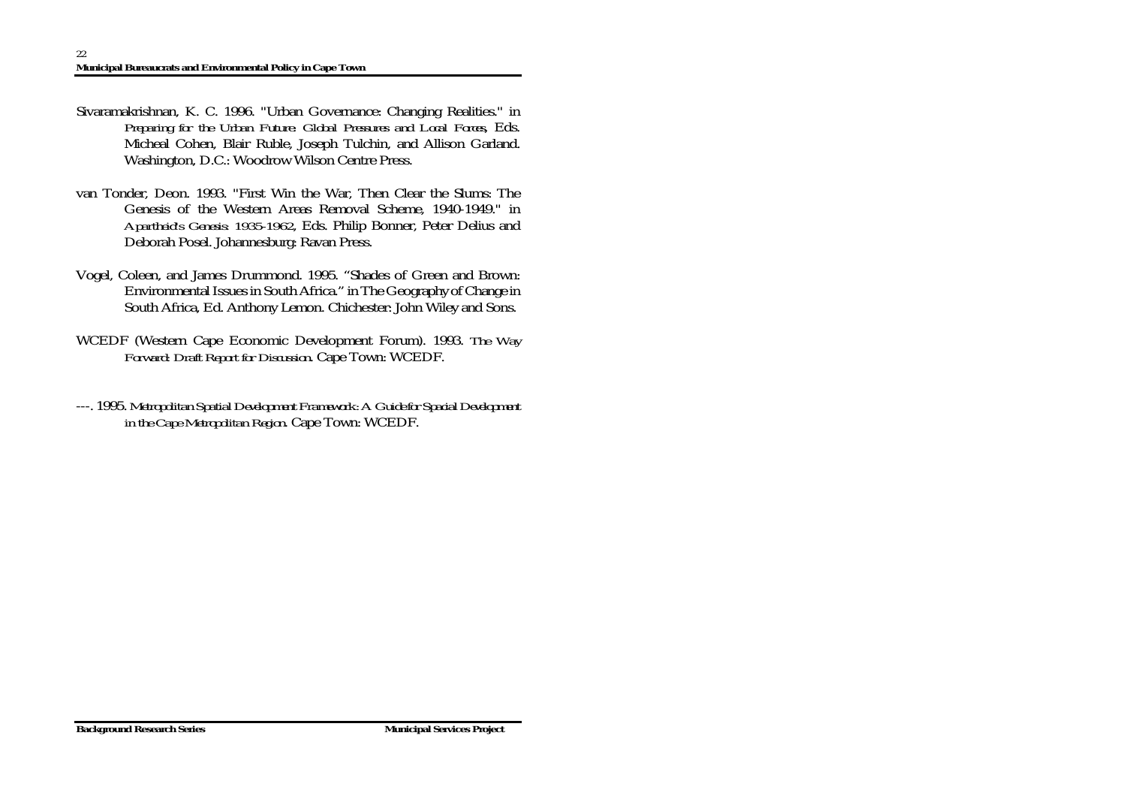- Sivaramakrishnan, K. C. 1996. "Urban Governance: Changing Realities." in *Preparing for the Urban Future: Global Pressures and Local Forces*, Eds. Micheal Cohen, Blair Ruble, Joseph Tulchin, and Allison Garland. Washington, D.C.: Woodrow Wilson Centre Press.
- van Tonder, Deon. 1993. "First Win the War, Then Clear the Slums: The Genesis of the Western Areas Removal Scheme, 1940-1949." in *Apartheid's Genesis: 1935-1962*, Eds. Philip Bonner, Peter Delius and Deborah Posel. Johannesburg: Ravan Press.
- Vogel, Coleen, and James Drummond. 1995. "Shades of Green and Brown: Environmental Issues in South Africa." in The Geography of Change in South Africa, Ed. Anthony Lemon. Chichester: John Wiley and Sons.
- WCEDF (Western Cape Economic Development Forum). 1993. *The Way Forward: Draft Report for Discussion*. Cape Town: WCEDF.
- ---. 1995. *Metropolitan Spatial Development Framework: A Guide for Spacial Development in the Cape Metropolitan Region*. Cape Town: WCEDF.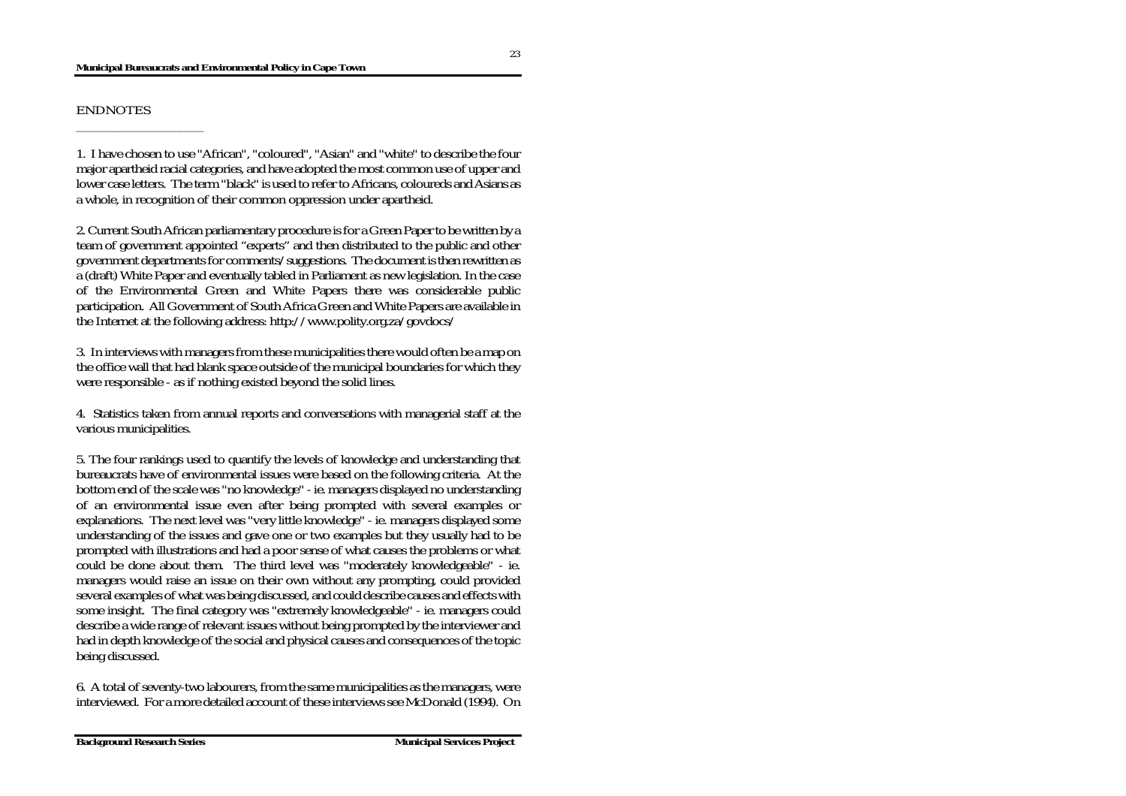#### **Municipal Bureaucrats and Environmental Policy in Cape Town**

1. I have chosen to use "African", "coloured", "Asian" and "white" to describe the four major apartheid racial categories, and have adopted the most common use of upper and lower case letters. The term "black" is used to refer to Africans, coloureds and Asians as a whole, in recognition of their common oppression under apartheid.

2. Current South African parliamentary procedure is for a Green Paper to be written by a team of government appointed "experts" and then distributed to the public and other government departments for comments/suggestions. The document is then rewritten as a (draft) White Paper and eventually tabled in Parliament as new legislation. In the case of the Environmental Green and White Papers there was considerable public participation. All Government of South Africa Green and White Papers are available in the Internet at the following address: http://www.polity.org.za/govdocs/

3. In interviews with managers from these municipalities there would often be a map on the office wall that had blank space outside of the municipal boundaries for which they were responsible - as if nothing existed beyond the solid lines.

4. Statistics taken from annual reports and conversations with managerial staff at the various municipalities.

5. The four rankings used to quantify the levels of knowledge and understanding that bureaucrats have of environmental issues were based on the following criteria. At the bottom end of the scale was "no knowledge" - ie. managers displayed no understanding of an environmental issue even after being prompted with several examples or explanations. The next level was "very little knowledge" - ie. managers displayed some understanding of the issues and gave one or two examples but they usually had to be prompted with illustrations and had a poor sense of what causes the problems or what could be done about them. The third level was "moderately knowledgeable" - ie. managers would raise an issue on their own without any prompting, could provided several examples of what was being discussed, and could describe causes and effects with some insight. The final category was "extremely knowledgeable" - ie. managers could describe a wide range of relevant issues without being prompted by the interviewer and had in depth knowledge of the social and physical causes and consequences of the topic being discussed.

6. A total of seventy-two labourers, from the same municipalities as the managers, were interviewed. For a more detailed account of these interviews see McDonald (1994). On